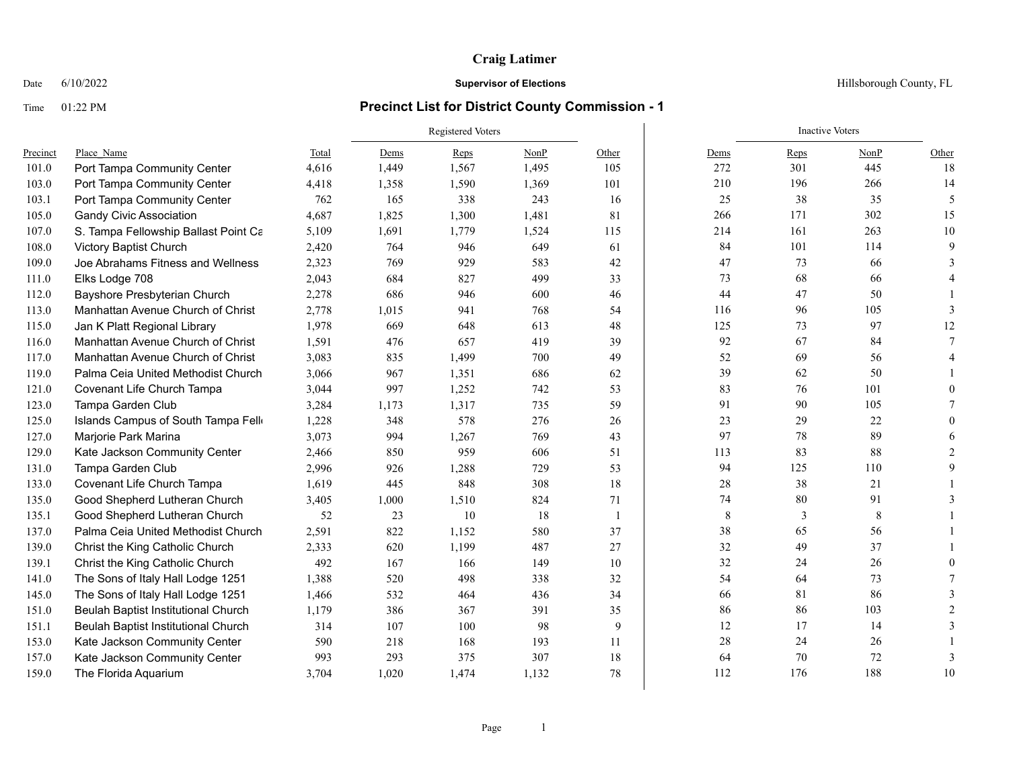### Date  $6/10/2022$  Hillsborough County, FL

|          |                                      |       | <b>Registered Voters</b> |       |       |                | <b>Inactive Voters</b> |      |      |          |  |
|----------|--------------------------------------|-------|--------------------------|-------|-------|----------------|------------------------|------|------|----------|--|
| Precinct | Place Name                           | Total | Dems                     | Reps  | NonP  | Other          | Dems                   | Reps | NonP | Other    |  |
| 101.0    | Port Tampa Community Center          | 4,616 | 1,449                    | 1,567 | 1,495 | 105            | 272                    | 301  | 445  | 18       |  |
| 103.0    | Port Tampa Community Center          | 4,418 | 1,358                    | 1,590 | 1,369 | 101            | 210                    | 196  | 266  | 14       |  |
| 103.1    | Port Tampa Community Center          | 762   | 165                      | 338   | 243   | 16             | 25                     | 38   | 35   | 5        |  |
| 105.0    | <b>Gandy Civic Association</b>       | 4,687 | 1,825                    | 1,300 | 1,481 | 81             | 266                    | 171  | 302  | 15       |  |
| 107.0    | S. Tampa Fellowship Ballast Point Ca | 5,109 | 1,691                    | 1,779 | 1,524 | 115            | 214                    | 161  | 263  | $10\,$   |  |
| 108.0    | Victory Baptist Church               | 2,420 | 764                      | 946   | 649   | 61             | 84                     | 101  | 114  | 9        |  |
| 109.0    | Joe Abrahams Fitness and Wellness    | 2,323 | 769                      | 929   | 583   | 42             | 47                     | 73   | 66   | 3        |  |
| 111.0    | Elks Lodge 708                       | 2,043 | 684                      | 827   | 499   | 33             | 73                     | 68   | 66   |          |  |
| 112.0    | Bayshore Presbyterian Church         | 2,278 | 686                      | 946   | 600   | 46             | 44                     | 47   | 50   |          |  |
| 113.0    | Manhattan Avenue Church of Christ    | 2,778 | 1,015                    | 941   | 768   | 54             | 116                    | 96   | 105  | 3        |  |
| 115.0    | Jan K Platt Regional Library         | 1,978 | 669                      | 648   | 613   | 48             | 125                    | 73   | 97   | 12       |  |
| 116.0    | Manhattan Avenue Church of Christ    | 1,591 | 476                      | 657   | 419   | 39             | 92                     | 67   | 84   | 7        |  |
| 117.0    | Manhattan Avenue Church of Christ    | 3,083 | 835                      | 1,499 | 700   | 49             | 52                     | 69   | 56   |          |  |
| 119.0    | Palma Ceia United Methodist Church   | 3,066 | 967                      | 1,351 | 686   | 62             | 39                     | 62   | 50   |          |  |
| 121.0    | Covenant Life Church Tampa           | 3,044 | 997                      | 1,252 | 742   | 53             | 83                     | 76   | 101  | $\Omega$ |  |
| 123.0    | Tampa Garden Club                    | 3,284 | 1,173                    | 1,317 | 735   | 59             | 91                     | 90   | 105  |          |  |
| 125.0    | Islands Campus of South Tampa Fello  | 1,228 | 348                      | 578   | 276   | 26             | 23                     | 29   | 22   | $\Omega$ |  |
| 127.0    | Marjorie Park Marina                 | 3,073 | 994                      | 1,267 | 769   | 43             | 97                     | 78   | 89   | 6        |  |
| 129.0    | Kate Jackson Community Center        | 2,466 | 850                      | 959   | 606   | 51             | 113                    | 83   | 88   | 2        |  |
| 131.0    | Tampa Garden Club                    | 2,996 | 926                      | 1,288 | 729   | 53             | 94                     | 125  | 110  | 9        |  |
| 133.0    | Covenant Life Church Tampa           | 1,619 | 445                      | 848   | 308   | 18             | 28                     | 38   | 21   |          |  |
| 135.0    | Good Shepherd Lutheran Church        | 3,405 | 1,000                    | 1,510 | 824   | 71             | 74                     | 80   | 91   | 3        |  |
| 135.1    | Good Shepherd Lutheran Church        | 52    | 23                       | 10    | 18    | $\overline{1}$ | $\,8\,$                | 3    | 8    |          |  |
| 137.0    | Palma Ceia United Methodist Church   | 2,591 | 822                      | 1,152 | 580   | 37             | 38                     | 65   | 56   |          |  |
| 139.0    | Christ the King Catholic Church      | 2,333 | 620                      | 1,199 | 487   | 27             | 32                     | 49   | 37   |          |  |
| 139.1    | Christ the King Catholic Church      | 492   | 167                      | 166   | 149   | 10             | 32                     | 24   | 26   | $\Omega$ |  |
| 141.0    | The Sons of Italy Hall Lodge 1251    | 1,388 | 520                      | 498   | 338   | 32             | 54                     | 64   | 73   |          |  |
| 145.0    | The Sons of Italy Hall Lodge 1251    | 1,466 | 532                      | 464   | 436   | 34             | 66                     | 81   | 86   | 3        |  |
| 151.0    | Beulah Baptist Institutional Church  | 1,179 | 386                      | 367   | 391   | 35             | 86                     | 86   | 103  |          |  |
| 151.1    | Beulah Baptist Institutional Church  | 314   | 107                      | 100   | 98    | 9              | 12                     | 17   | 14   | 3        |  |
| 153.0    | Kate Jackson Community Center        | 590   | 218                      | 168   | 193   | 11             | 28                     | 24   | 26   |          |  |
| 157.0    | Kate Jackson Community Center        | 993   | 293                      | 375   | 307   | 18             | 64                     | 70   | 72   | 3        |  |
| 159.0    | The Florida Aquarium                 | 3,704 | 1,020                    | 1,474 | 1,132 | 78             | 112                    | 176  | 188  | 10       |  |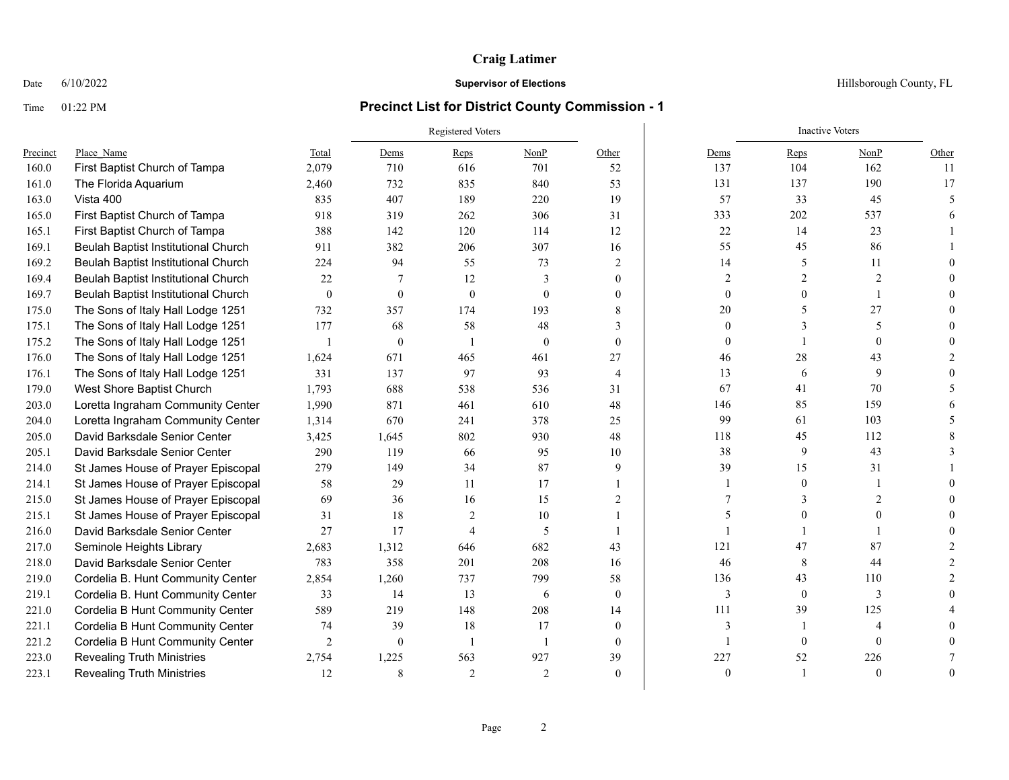### Date  $6/10/2022$  Hillsborough County, FL

|          |                                     |                  |              | Registered Voters |                | <b>Inactive Voters</b> |                |                  |                |                          |
|----------|-------------------------------------|------------------|--------------|-------------------|----------------|------------------------|----------------|------------------|----------------|--------------------------|
| Precinct | Place Name                          | Total            | Dems         | Reps              | NonP           | Other                  | Dems           | <b>Reps</b>      | NonP           | Other                    |
| 160.0    | First Baptist Church of Tampa       | 2,079            | 710          | 616               | 701            | 52                     | 137            | 104              | 162            | 11                       |
| 161.0    | The Florida Aquarium                | 2,460            | 732          | 835               | 840            | 53                     | 131            | 137              | 190            | 17                       |
| 163.0    | Vista 400                           | 835              | 407          | 189               | 220            | 19                     | 57             | 33               | 45             | $\overline{\phantom{0}}$ |
| 165.0    | First Baptist Church of Tampa       | 918              | 319          | 262               | 306            | 31                     | 333            | 202              | 537            |                          |
| 165.1    | First Baptist Church of Tampa       | 388              | 142          | 120               | 114            | 12                     | 22             | 14               | 23             |                          |
| 169.1    | Beulah Baptist Institutional Church | 911              | 382          | 206               | 307            | 16                     | 55             | 45               | 86             |                          |
| 169.2    | Beulah Baptist Institutional Church | 224              | 94           | 55                | 73             | 2                      | 14             | 5                | 11             |                          |
| 169.4    | Beulah Baptist Institutional Church | 22               | 7            | 12                | 3              | $\theta$               | $\overline{2}$ | $\mathfrak{D}$   | $\overline{2}$ |                          |
| 169.7    | Beulah Baptist Institutional Church | $\boldsymbol{0}$ | $\mathbf{0}$ | $\theta$          | $\theta$       | $\Omega$               | $\mathbf{0}$   | $\theta$         | 1              |                          |
| 175.0    | The Sons of Italy Hall Lodge 1251   | 732              | 357          | 174               | 193            | 8                      | 20             | 5                | 27             |                          |
| 175.1    | The Sons of Italy Hall Lodge 1251   | 177              | 68           | 58                | 48             | 3                      | $\mathbf{0}$   | $\mathbf{3}$     | 5              |                          |
| 175.2    | The Sons of Italy Hall Lodge 1251   |                  | $\mathbf{0}$ |                   | $\theta$       | $\theta$               | $\theta$       |                  | $\theta$       |                          |
| 176.0    | The Sons of Italy Hall Lodge 1251   | 1,624            | 671          | 465               | 461            | 27                     | 46             | 28               | 43             |                          |
| 176.1    | The Sons of Italy Hall Lodge 1251   | 331              | 137          | 97                | 93             | $\overline{4}$         | 13             | 6                | 9              |                          |
| 179.0    | West Shore Baptist Church           | 1,793            | 688          | 538               | 536            | 31                     | 67             | 41               | 70             |                          |
| 203.0    | Loretta Ingraham Community Center   | 1,990            | 871          | 461               | 610            | 48                     | 146            | 85               | 159            |                          |
| 204.0    | Loretta Ingraham Community Center   | 1,314            | 670          | 241               | 378            | 25                     | 99             | 61               | 103            |                          |
| 205.0    | David Barksdale Senior Center       | 3,425            | 1,645        | 802               | 930            | 48                     | 118            | 45               | 112            |                          |
| 205.1    | David Barksdale Senior Center       | 290              | 119          | 66                | 95             | 10                     | 38             | 9                | 43             |                          |
| 214.0    | St James House of Prayer Episcopal  | 279              | 149          | 34                | 87             | 9                      | 39             | 15               | 31             |                          |
| 214.1    | St James House of Prayer Episcopal  | 58               | 29           | 11                | 17             |                        |                | $\mathbf{0}$     | $\mathbf{1}$   |                          |
| 215.0    | St James House of Prayer Episcopal  | 69               | 36           | 16                | 15             | $\overline{2}$         |                | 3                | $\mathfrak{D}$ |                          |
| 215.1    | St James House of Prayer Episcopal  | 31               | 18           | $\overline{2}$    | 10             |                        |                | $\Omega$         | 0              |                          |
| 216.0    | David Barksdale Senior Center       | 27               | 17           | $\overline{A}$    | 5              | $\mathbf{1}$           |                |                  |                |                          |
| 217.0    | Seminole Heights Library            | 2,683            | 1,312        | 646               | 682            | 43                     | 121            | 47               | 87             |                          |
| 218.0    | David Barksdale Senior Center       | 783              | 358          | 201               | 208            | 16                     | 46             | 8                | 44             |                          |
| 219.0    | Cordelia B. Hunt Community Center   | 2,854            | 1,260        | 737               | 799            | 58                     | 136            | 43               | 110            |                          |
| 219.1    | Cordelia B. Hunt Community Center   | 33               | 14           | 13                | 6              | $\mathbf{0}$           | 3              | $\boldsymbol{0}$ | 3              |                          |
| 221.0    | Cordelia B Hunt Community Center    | 589              | 219          | 148               | 208            | 14                     | 111            | 39               | 125            |                          |
| 221.1    | Cordelia B Hunt Community Center    | 74               | 39           | 18                | 17             | $\theta$               | 3              | $\mathbf{1}$     | $\overline{4}$ |                          |
| 221.2    | Cordelia B Hunt Community Center    | $\overline{2}$   | $\mathbf{0}$ | $\overline{1}$    | $\overline{1}$ | $\theta$               |                | $\overline{0}$   | $\mathbf{0}$   |                          |
| 223.0    | <b>Revealing Truth Ministries</b>   | 2,754            | 1,225        | 563               | 927            | 39                     | 227            | 52               | 226            |                          |
| 223.1    | <b>Revealing Truth Ministries</b>   | 12               | 8            | $\overline{2}$    | 2              | $\theta$               | $\theta$       |                  | $\Omega$       | $\theta$                 |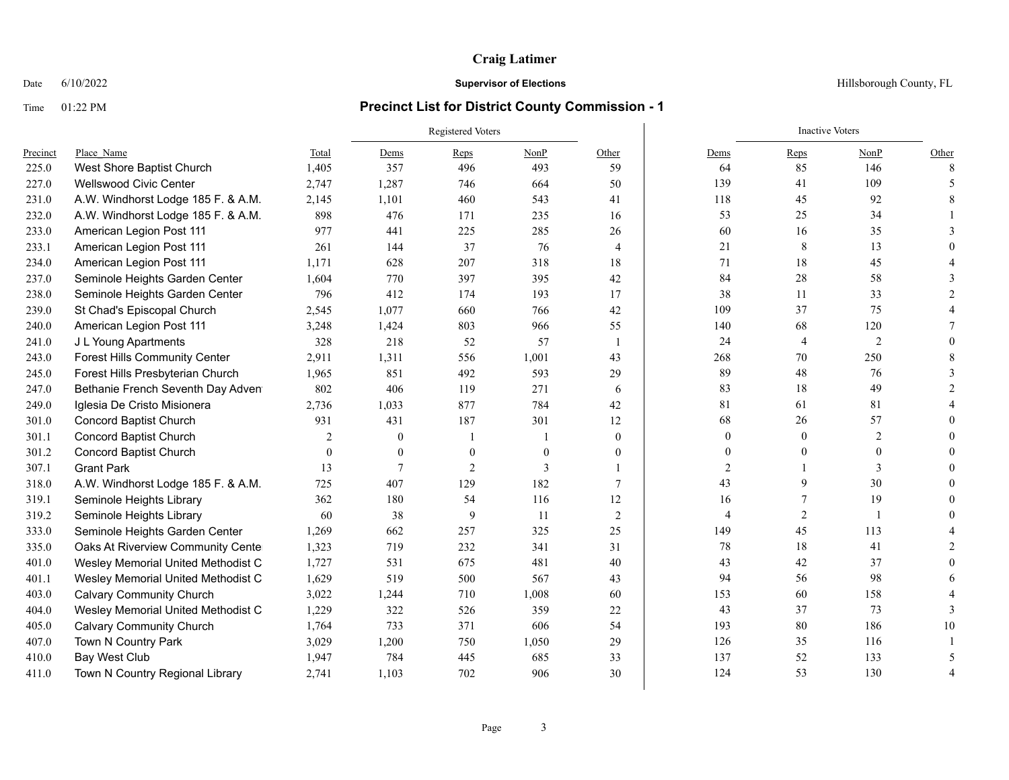### Date  $6/10/2022$  Hillsborough County, FL

|          |                                      |              |              | Registered Voters |          |                | <b>Inactive Voters</b> |                |                |                |  |
|----------|--------------------------------------|--------------|--------------|-------------------|----------|----------------|------------------------|----------------|----------------|----------------|--|
| Precinct | Place Name                           | Total        | Dems         | Reps              | NonP     | Other          | Dems                   | Reps           | NonP           | Other          |  |
| 225.0    | West Shore Baptist Church            | 1,405        | 357          | 496               | 493      | 59             | 64                     | 85             | 146            | 8              |  |
| 227.0    | <b>Wellswood Civic Center</b>        | 2,747        | 1,287        | 746               | 664      | 50             | 139                    | 41             | 109            | 5              |  |
| 231.0    | A.W. Windhorst Lodge 185 F. & A.M.   | 2,145        | 1,101        | 460               | 543      | 41             | 118                    | 45             | 92             | 8              |  |
| 232.0    | A.W. Windhorst Lodge 185 F. & A.M.   | 898          | 476          | 171               | 235      | 16             | 53                     | 25             | 34             |                |  |
| 233.0    | American Legion Post 111             | 977          | 441          | 225               | 285      | 26             | 60                     | 16             | 35             |                |  |
| 233.1    | American Legion Post 111             | 261          | 144          | 37                | 76       | 4              | 21                     | 8              | 13             |                |  |
| 234.0    | American Legion Post 111             | 1,171        | 628          | 207               | 318      | 18             | 71                     | 18             | 45             |                |  |
| 237.0    | Seminole Heights Garden Center       | 1,604        | 770          | 397               | 395      | 42             | 84                     | 28             | 58             |                |  |
| 238.0    | Seminole Heights Garden Center       | 796          | 412          | 174               | 193      | 17             | 38                     | 11             | 33             |                |  |
| 239.0    | St Chad's Episcopal Church           | 2,545        | 1,077        | 660               | 766      | 42             | 109                    | 37             | 75             |                |  |
| 240.0    | American Legion Post 111             | 3,248        | 1,424        | 803               | 966      | 55             | 140                    | 68             | 120            |                |  |
| 241.0    | J L Young Apartments                 | 328          | 218          | 52                | 57       | $\overline{1}$ | 24                     | $\overline{4}$ | $\overline{2}$ |                |  |
| 243.0    | <b>Forest Hills Community Center</b> | 2,911        | 1,311        | 556               | 1,001    | 43             | 268                    | 70             | 250            |                |  |
| 245.0    | Forest Hills Presbyterian Church     | 1,965        | 851          | 492               | 593      | 29             | 89                     | 48             | 76             | 3              |  |
| 247.0    | Bethanie French Seventh Day Adven    | 802          | 406          | 119               | 271      | 6              | 83                     | 18             | 49             | $\mathfrak{D}$ |  |
| 249.0    | Iglesia De Cristo Misionera          | 2,736        | 1,033        | 877               | 784      | 42             | 81                     | 61             | 81             |                |  |
| 301.0    | <b>Concord Baptist Church</b>        | 931          | 431          | 187               | 301      | 12             | 68                     | 26             | 57             |                |  |
| 301.1    | <b>Concord Baptist Church</b>        | 2            | $\theta$     |                   |          | $\overline{0}$ | $\mathbf{0}$           | $\mathbf{0}$   | $\overline{2}$ |                |  |
| 301.2    | <b>Concord Baptist Church</b>        | $\mathbf{0}$ | $\mathbf{0}$ | $\mathbf{0}$      | $\theta$ | $\mathbf{0}$   | $\theta$               | $\theta$       | $\mathbf{0}$   |                |  |
| 307.1    | <b>Grant Park</b>                    | 13           | 7            | $\overline{2}$    | 3        |                | $\overline{2}$         |                | 3              |                |  |
| 318.0    | A.W. Windhorst Lodge 185 F. & A.M.   | 725          | 407          | 129               | 182      | $\overline{7}$ | 43                     | 9              | 30             |                |  |
| 319.1    | Seminole Heights Library             | 362          | 180          | 54                | 116      | 12             | 16                     | 7              | 19             |                |  |
| 319.2    | Seminole Heights Library             | 60           | 38           | 9                 | -11      | 2              | $\overline{4}$         | $\overline{2}$ | -1             |                |  |
| 333.0    | Seminole Heights Garden Center       | 1,269        | 662          | 257               | 325      | 25             | 149                    | 45             | 113            |                |  |
| 335.0    | Oaks At Riverview Community Cente    | 1,323        | 719          | 232               | 341      | 31             | 78                     | 18             | 41             |                |  |
| 401.0    | Wesley Memorial United Methodist C   | 1,727        | 531          | 675               | 481      | 40             | 43                     | 42             | 37             | $\Omega$       |  |
| 401.1    | Wesley Memorial United Methodist C   | 1,629        | 519          | 500               | 567      | 43             | 94                     | 56             | 98             |                |  |
| 403.0    | <b>Calvary Community Church</b>      | 3,022        | 1.244        | 710               | 1,008    | 60             | 153                    | 60             | 158            |                |  |
| 404.0    | Wesley Memorial United Methodist C   | 1,229        | 322          | 526               | 359      | 22             | 43                     | 37             | 73             |                |  |
| 405.0    | <b>Calvary Community Church</b>      | 1,764        | 733          | 371               | 606      | 54             | 193                    | 80             | 186            | 10             |  |
| 407.0    | Town N Country Park                  | 3,029        | 1,200        | 750               | 1,050    | 29             | 126                    | 35             | 116            |                |  |
| 410.0    | Bay West Club                        | 1,947        | 784          | 445               | 685      | 33             | 137                    | 52             | 133            |                |  |
| 411.0    | Town N Country Regional Library      | 2,741        | 1,103        | 702               | 906      | 30             | 124                    | 53             | 130            | $\overline{4}$ |  |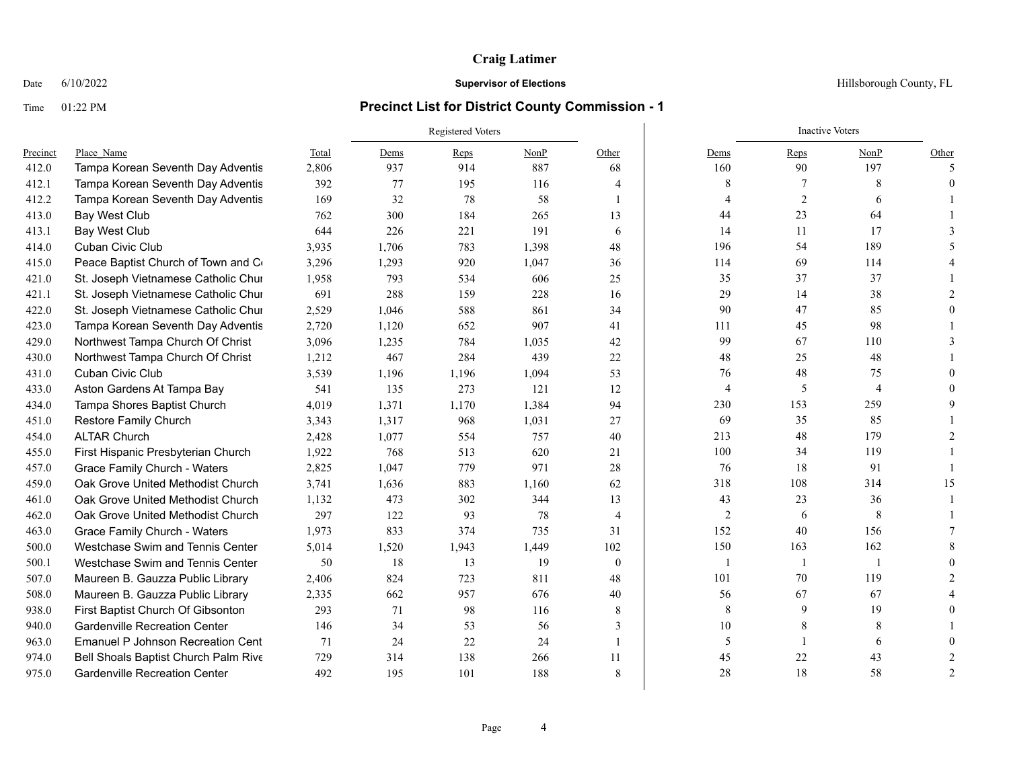## Date  $6/10/2022$  Hillsborough County, FL

|          |                                      |       | Registered Voters |       |       |                |                | <b>Inactive Voters</b> |                |                |  |
|----------|--------------------------------------|-------|-------------------|-------|-------|----------------|----------------|------------------------|----------------|----------------|--|
| Precinct | Place Name                           | Total | Dems              | Reps  | NonP  | Other          | Dems           | Reps                   | NonP           | Other          |  |
| 412.0    | Tampa Korean Seventh Day Adventis    | 2,806 | 937               | 914   | 887   | 68             | 160            | 90                     | 197            | 5              |  |
| 412.1    | Tampa Korean Seventh Day Adventis    | 392   | 77                | 195   | 116   | 4              | 8              |                        | 8              | $\Omega$       |  |
| 412.2    | Tampa Korean Seventh Day Adventis    | 169   | 32                | 78    | 58    | $\mathbf{1}$   | 4              | $\overline{2}$         | 6              |                |  |
| 413.0    | Bay West Club                        | 762   | 300               | 184   | 265   | 13             | 44             | 23                     | 64             |                |  |
| 413.1    | Bay West Club                        | 644   | 226               | 221   | 191   | 6              | 14             | 11                     | 17             |                |  |
| 414.0    | Cuban Civic Club                     | 3,935 | 1,706             | 783   | 1,398 | 48             | 196            | 54                     | 189            |                |  |
| 415.0    | Peace Baptist Church of Town and Co  | 3,296 | 1,293             | 920   | 1,047 | 36             | 114            | 69                     | 114            |                |  |
| 421.0    | St. Joseph Vietnamese Catholic Chur  | 1,958 | 793               | 534   | 606   | 25             | 35             | 37                     | 37             |                |  |
| 421.1    | St. Joseph Vietnamese Catholic Chur  | 691   | 288               | 159   | 228   | 16             | 29             | 14                     | 38             |                |  |
| 422.0    | St. Joseph Vietnamese Catholic Chur  | 2,529 | 1,046             | 588   | 861   | 34             | 90             | 47                     | 85             |                |  |
| 423.0    | Tampa Korean Seventh Day Adventis    | 2,720 | 1,120             | 652   | 907   | 41             | 111            | 45                     | 98             |                |  |
| 429.0    | Northwest Tampa Church Of Christ     | 3,096 | 1,235             | 784   | 1,035 | 42             | 99             | 67                     | 110            |                |  |
| 430.0    | Northwest Tampa Church Of Christ     | 1,212 | 467               | 284   | 439   | 22             | 48             | 25                     | 48             |                |  |
| 431.0    | Cuban Civic Club                     | 3,539 | 1,196             | 1,196 | 1,094 | 53             | 76             | 48                     | 75             |                |  |
| 433.0    | Aston Gardens At Tampa Bay           | 541   | 135               | 273   | 121   | 12             | $\overline{4}$ | 5                      | $\overline{4}$ |                |  |
| 434.0    | Tampa Shores Baptist Church          | 4,019 | 1,371             | 1,170 | 1,384 | 94             | 230            | 153                    | 259            |                |  |
| 451.0    | Restore Family Church                | 3,343 | 1,317             | 968   | 1,031 | 27             | 69             | 35                     | 85             |                |  |
| 454.0    | <b>ALTAR Church</b>                  | 2,428 | 1,077             | 554   | 757   | 40             | 213            | 48                     | 179            |                |  |
| 455.0    | First Hispanic Presbyterian Church   | 1,922 | 768               | 513   | 620   | 21             | 100            | 34                     | 119            |                |  |
| 457.0    | Grace Family Church - Waters         | 2,825 | 1,047             | 779   | 971   | 28             | 76             | 18                     | 91             |                |  |
| 459.0    | Oak Grove United Methodist Church    | 3,741 | 1,636             | 883   | 1,160 | 62             | 318            | 108                    | 314            | 15             |  |
| 461.0    | Oak Grove United Methodist Church    | 1,132 | 473               | 302   | 344   | 13             | 43             | 23                     | 36             |                |  |
| 462.0    | Oak Grove United Methodist Church    | 297   | 122               | 93    | 78    | $\overline{4}$ | 2              | 6                      | 8              |                |  |
| 463.0    | <b>Grace Family Church - Waters</b>  | 1.973 | 833               | 374   | 735   | 31             | 152            | 40                     | 156            |                |  |
| 500.0    | Westchase Swim and Tennis Center     | 5,014 | 1,520             | 1,943 | 1,449 | 102            | 150            | 163                    | 162            |                |  |
| 500.1    | Westchase Swim and Tennis Center     | 50    | 18                | 13    | 19    | $\mathbf{0}$   |                | 1                      | $\mathbf{1}$   |                |  |
| 507.0    | Maureen B. Gauzza Public Library     | 2,406 | 824               | 723   | 811   | 48             | 101            | 70                     | 119            |                |  |
| 508.0    | Maureen B. Gauzza Public Library     | 2,335 | 662               | 957   | 676   | 40             | 56             | 67                     | 67             |                |  |
| 938.0    | First Baptist Church Of Gibsonton    | 293   | 71                | 98    | 116   | 8              | 8              | 9                      | 19             |                |  |
| 940.0    | <b>Gardenville Recreation Center</b> | 146   | 34                | 53    | 56    | 3              | 10             | 8                      | 8              |                |  |
| 963.0    | Emanuel P Johnson Recreation Cent    | 71    | 24                | 22    | 24    |                | 5              | 1                      | 6              |                |  |
| 974.0    | Bell Shoals Baptist Church Palm Rive | 729   | 314               | 138   | 266   | 11             | 45             | 22                     | 43             |                |  |
| 975.0    | <b>Gardenville Recreation Center</b> | 492   | 195               | 101   | 188   | 8              | 28             | 18                     | 58             | $\overline{2}$ |  |